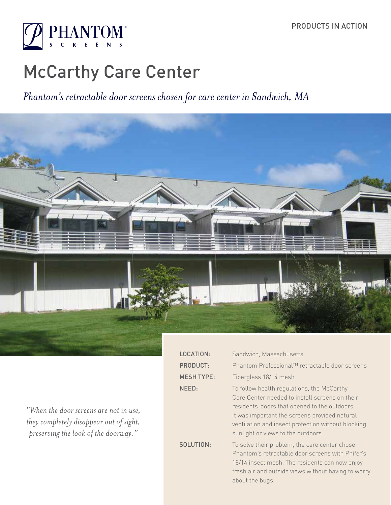

# McCarthy Care Center

## *Phantom's retractable door screens chosen for care center in Sandwich, MA*



 $L$ P  $M$  $\overline{\mathsf{N}}$ 

 $S$ 

*"When the door screens are not in use, they completely disappear out of sight, preserving the look of the doorway."* 

| <b>DCATION:</b>  | Sandwich, Massachusetts                                                                                                                                                                                                                                                                    |
|------------------|--------------------------------------------------------------------------------------------------------------------------------------------------------------------------------------------------------------------------------------------------------------------------------------------|
| RODUCT:          | Phantom Professional™ retractable door screens                                                                                                                                                                                                                                             |
| <b>ESH TYPE:</b> | Fiberglass 18/14 mesh                                                                                                                                                                                                                                                                      |
| EED:             | To follow health regulations, the McCarthy<br>Care Center needed to install screens on their<br>residents' doors that opened to the outdoors.<br>It was important the screens provided natural<br>ventilation and insect protection without blocking<br>sunlight or views to the outdoors. |
| <b>DLUTION:</b>  | To solve their problem, the care center chose<br>Phantom's retractable door screens with Phifer's<br>18/14 insect mesh. The residents can now enjoy<br>fresh air and outside views without having to worry<br>about the bugs.                                                              |